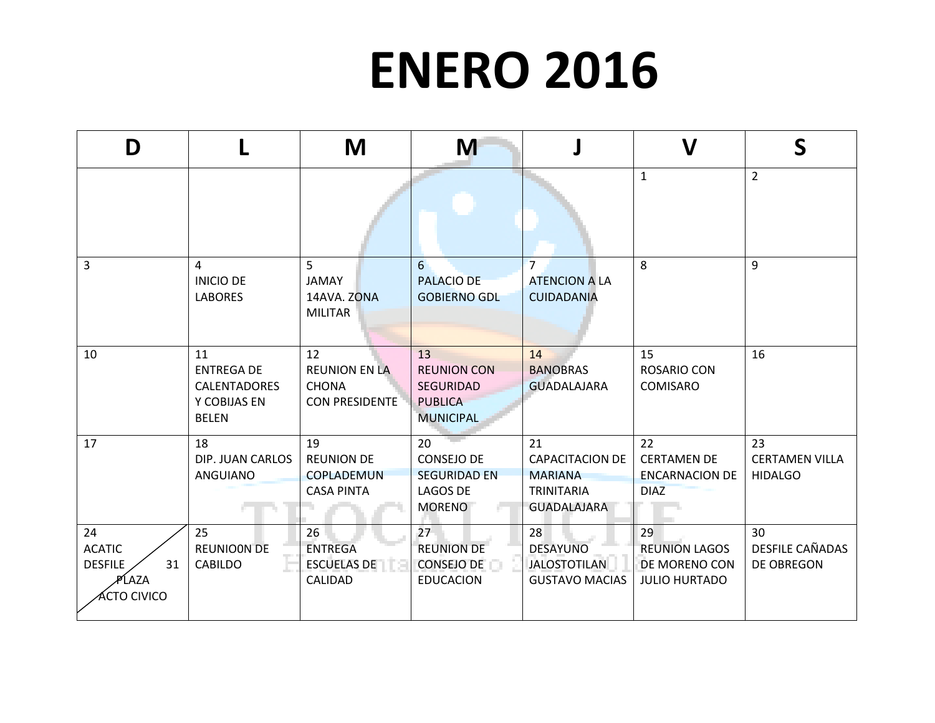## **ENERO 2016**

| D                                                                                     |                                                                                | M                                                                   | M                                                                                  |                                                                                           | $\mathbf V$                                                         | S                                             |
|---------------------------------------------------------------------------------------|--------------------------------------------------------------------------------|---------------------------------------------------------------------|------------------------------------------------------------------------------------|-------------------------------------------------------------------------------------------|---------------------------------------------------------------------|-----------------------------------------------|
|                                                                                       |                                                                                |                                                                     |                                                                                    |                                                                                           | $\mathbf{1}$                                                        | $\overline{2}$                                |
| 3                                                                                     | 4<br><b>INICIO DE</b><br><b>LABORES</b>                                        | 5<br><b>JAMAY</b><br>14AVA. ZONA<br><b>MILITAR</b>                  | 6<br><b>PALACIO DE</b><br><b>GOBIERNO GDL</b>                                      | $\overline{7}$<br><b>ATENCION A LA</b><br><b>CUIDADANIA</b>                               | 8                                                                   | 9                                             |
| 10                                                                                    | 11<br><b>ENTREGA DE</b><br><b>CALENTADORES</b><br>Y COBIJAS EN<br><b>BELEN</b> | 12<br><b>REUNION EN LA</b><br><b>CHONA</b><br><b>CON PRESIDENTE</b> | 13<br><b>REUNION CON</b><br><b>SEGURIDAD</b><br><b>PUBLICA</b><br><b>MUNICIPAL</b> | 14<br><b>BANOBRAS</b><br><b>GUADALAJARA</b>                                               | 15<br><b>ROSARIO CON</b><br><b>COMISARO</b>                         | 16                                            |
| 17                                                                                    | 18<br>DIP. JUAN CARLOS<br>ANGUIANO                                             | 19<br><b>REUNION DE</b><br>COPLADEMUN<br><b>CASA PINTA</b>          | 20<br><b>CONSEJO DE</b><br><b>SEGURIDAD EN</b><br>LAGOS DE<br><b>MORENO</b>        | 21<br><b>CAPACITACION DE</b><br><b>MARIANA</b><br><b>TRINITARIA</b><br><b>GUADALAJARA</b> | 22<br><b>CERTAMEN DE</b><br><b>ENCARNACION DE</b><br><b>DIAZ</b>    | 23<br><b>CERTAMEN VILLA</b><br><b>HIDALGO</b> |
| 24<br><b>ACATIC</b><br><b>DESFILE</b><br>31<br>⁄PĹAZA<br><b><sup>CTO CIVICO</sup></b> | 25<br><b>REUNIOON DE</b><br><b>CABILDO</b>                                     | 26<br><b>ENTREGA</b><br><b>ESCUELAS DE</b><br>CALIDAD               | 27<br><b>REUNION DE</b><br><b>CONSEJO DE</b><br><b>EDUCACION</b>                   | 28<br><b>DESAYUNO</b><br><b>JALOSTOTILAN</b><br><b>GUSTAVO MACIAS</b>                     | 29<br><b>REUNION LAGOS</b><br>DE MORENO CON<br><b>JULIO HURTADO</b> | 30<br>DESFILE CAÑADAS<br>DE OBREGON           |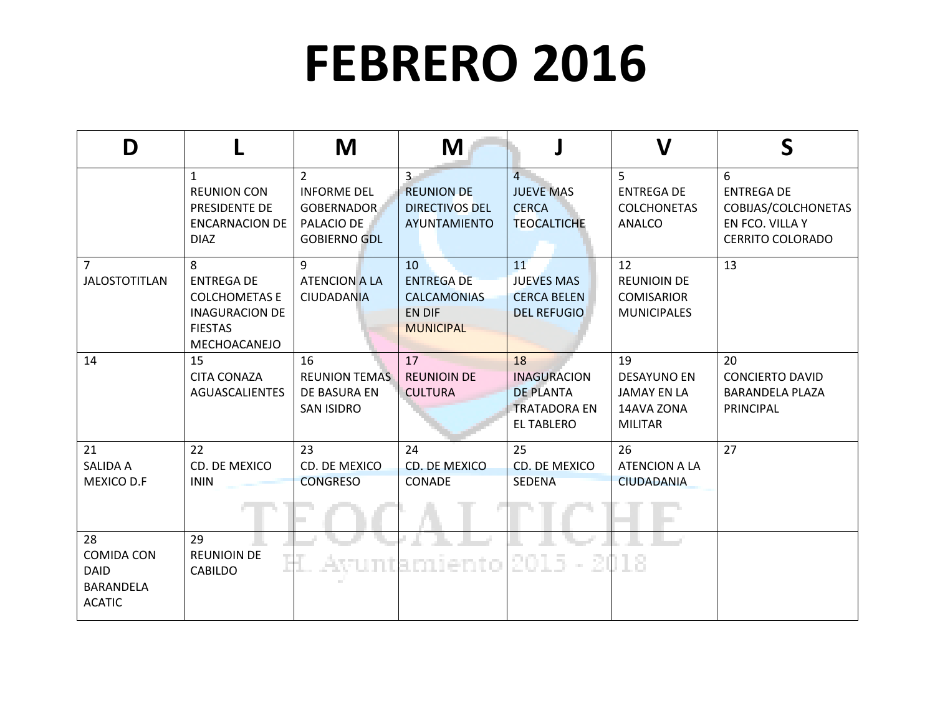## **FEBRERO 2016**

| D                                                                           |                                                                                                           | M                                                                                              | M                                                                                  |                                                                                          | $\mathsf{V}$                                                                   | S                                                                                           |
|-----------------------------------------------------------------------------|-----------------------------------------------------------------------------------------------------------|------------------------------------------------------------------------------------------------|------------------------------------------------------------------------------------|------------------------------------------------------------------------------------------|--------------------------------------------------------------------------------|---------------------------------------------------------------------------------------------|
|                                                                             | $\mathbf{1}$<br><b>REUNION CON</b><br>PRESIDENTE DE<br><b>ENCARNACION DE</b><br><b>DIAZ</b>               | $\overline{2}$<br><b>INFORME DEL</b><br><b>GOBERNADOR</b><br>PALACIO DE<br><b>GOBIERNO GDL</b> | $\overline{3}$<br><b>REUNION DE</b><br><b>DIRECTIVOS DEL</b><br>AYUNTAMIENTO       | $\mathbf{A}$<br><b>JUEVE MAS</b><br><b>CERCA</b><br><b>TEOCALTICHE</b>                   | 5<br><b>ENTREGA DE</b><br><b>COLCHONETAS</b><br><b>ANALCO</b>                  | 6<br><b>ENTREGA DE</b><br>COBIJAS/COLCHONETAS<br>EN FCO. VILLA Y<br><b>CERRITO COLORADO</b> |
| $\overline{7}$<br><b>JALOSTOTITLAN</b>                                      | 8<br><b>ENTREGA DE</b><br><b>COLCHOMETAS E</b><br><b>INAGURACION DE</b><br><b>FIESTAS</b><br>MECHOACANEJO | $\overline{9}$<br><b>ATENCION A LA</b><br><b>CIUDADANIA</b>                                    | 10<br><b>ENTREGA DE</b><br><b>CALCAMONIAS</b><br><b>EN DIF</b><br><b>MUNICIPAL</b> | 11<br><b>JUEVES MAS</b><br><b>CERCA BELEN</b><br><b>DEL REFUGIO</b>                      | 12<br><b>REUNIOIN DE</b><br><b>COMISARIOR</b><br><b>MUNICIPALES</b>            | 13                                                                                          |
| 14                                                                          | 15<br><b>CITA CONAZA</b><br><b>AGUASCALIENTES</b>                                                         | 16<br><b>REUNION TEMAS</b><br>DE BASURA EN<br><b>SAN ISIDRO</b>                                | 17<br><b>REUNIOIN DE</b><br><b>CULTURA</b>                                         | 18<br><b>INAGURACION</b><br><b>DE PLANTA</b><br><b>TRATADORA EN</b><br><b>EL TABLERO</b> | 19<br><b>DESAYUNO EN</b><br><b>JAMAY EN LA</b><br>14AVA ZONA<br><b>MILITAR</b> | 20<br><b>CONCIERTO DAVID</b><br><b>BARANDELA PLAZA</b><br><b>PRINCIPAL</b>                  |
| 21<br><b>SALIDA A</b><br>MEXICO D.F                                         | 22<br>CD. DE MEXICO<br><b>ININ</b>                                                                        | 23<br>CD. DE MEXICO<br><b>CONGRESO</b>                                                         | 24<br>CD. DE MEXICO<br><b>CONADE</b>                                               | 25<br>CD. DE MEXICO<br><b>SEDENA</b>                                                     | 26<br><b>ATENCION A LA</b><br><b>CIUDADANIA</b>                                | 27                                                                                          |
| 28<br><b>COMIDA CON</b><br><b>DAID</b><br><b>BARANDELA</b><br><b>ACATIC</b> | 29<br><b>REUNIOIN DE</b><br><b>CABILDO</b>                                                                |                                                                                                | Avuntamiento                                                                       | 2015<br>- 2018                                                                           |                                                                                |                                                                                             |